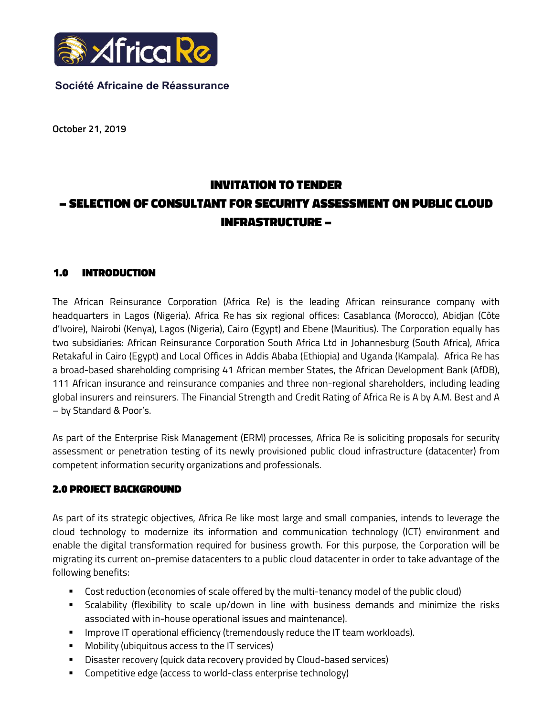

## Société Africaine de Réassurance

October 21, 2019

# INVITATION TO TENDER – SELECTION OF CONSULTANT FOR SECURITY ASSESSMENT ON PUBLIC CLOUD INFRASTRUCTURE –

## 1.0 INTRODUCTION

The African Reinsurance Corporation (Africa Re) is the leading African reinsurance company with headquarters in Lagos (Nigeria). Africa Re has six regional offices: Casablanca (Morocco), Abidjan (Côte d'Ivoire), Nairobi (Kenya), Lagos (Nigeria), Cairo (Egypt) and Ebene (Mauritius). The Corporation equally has two subsidiaries: African Reinsurance Corporation South Africa Ltd in Johannesburg (South Africa), Africa Retakaful in Cairo (Egypt) and Local Offices in Addis Ababa (Ethiopia) and Uganda (Kampala). Africa Re has a broad-based shareholding comprising 41 African member States, the African Development Bank (AfDB), 111 African insurance and reinsurance companies and three non-regional shareholders, including leading global insurers and reinsurers. The Financial Strength and Credit Rating of Africa Re is A by A.M. Best and A – by Standard & Poor's.

As part of the Enterprise Risk Management (ERM) processes, Africa Re is soliciting proposals for security assessment or penetration testing of its newly provisioned public cloud infrastructure (datacenter) from competent information security organizations and professionals.

# 2.0 PROJECT BACKGROUND

As part of its strategic objectives, Africa Re like most large and small companies, intends to leverage the cloud technology to modernize its information and communication technology (ICT) environment and enable the digital transformation required for business growth. For this purpose, the Corporation will be migrating its current on-premise datacenters to a public cloud datacenter in order to take advantage of the following benefits:

- Cost reduction (economies of scale offered by the multi-tenancy model of the public cloud)
- Scalability (flexibility to scale up/down in line with business demands and minimize the risks associated with in-house operational issues and maintenance).
- **IMPROVE IT operational efficiency (tremendously reduce the IT team workloads).**
- **•** Mobility (ubiquitous access to the IT services)
- Disaster recovery (quick data recovery provided by Cloud-based services)
- **EXECOMPETE 12 Competitive edge (access to world-class enterprise technology)**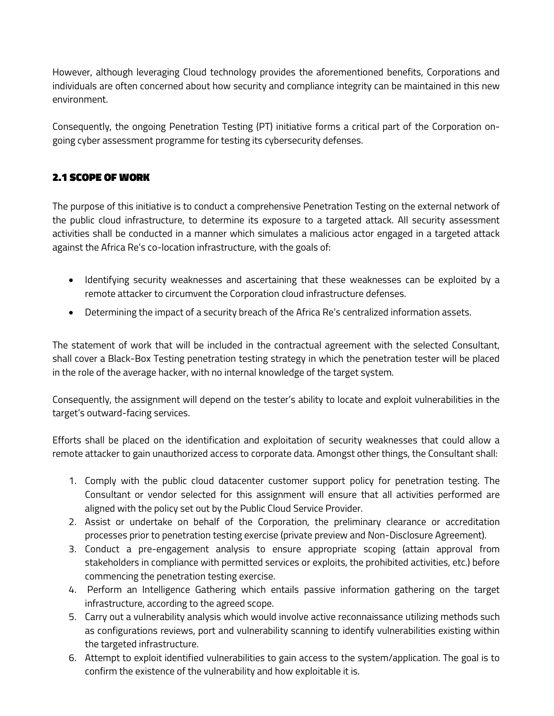However, although leveraging Cloud technology provides the aforementioned benefits, Corporations and individuals are often concerned about how security and compliance integrity can be maintained in this new environment.

Consequently, the ongoing Penetration Testing (PT) initiative forms a critical part of the Corporation ongoing cyber assessment programme for testing its cybersecurity defenses.

# 2.1 SCOPE OF WORK

The purpose of this initiative is to conduct a comprehensive Penetration Testing on the external network of the public cloud infrastructure, to determine its exposure to a targeted attack. All security assessment activities shall be conducted in a manner which simulates a malicious actor engaged in a targeted attack against the Africa Re's co-location infrastructure, with the goals of:

- Identifying security weaknesses and ascertaining that these weaknesses can be exploited by a remote attacker to circumvent the Corporation cloud infrastructure defenses.
- Determining the impact of a security breach of the Africa Re's centralized information assets.

The statement of work that will be included in the contractual agreement with the selected Consultant, shall cover a Black-Box Testing penetration testing strategy in which the penetration tester will be placed in the role of the average hacker, with no internal knowledge of the target system.

Consequently, the assignment will depend on the tester's ability to locate and exploit vulnerabilities in the target's outward-facing services.

Efforts shall be placed on the identification and exploitation of security weaknesses that could allow a remote attacker to gain unauthorized access to corporate data. Amongst other things, the Consultant shall:

- 1. Comply with the public cloud datacenter customer support policy for penetration testing. The Consultant or vendor selected for this assignment will ensure that all activities performed are aligned with the policy set out by the Public Cloud Service Provider.
- 2. Assist or undertake on behalf of the Corporation, the preliminary clearance or accreditation processes prior to penetration testing exercise (private preview and Non-Disclosure Agreement).
- 3. Conduct a pre-engagement analysis to ensure appropriate scoping (attain approval from stakeholders in compliance with permitted services or exploits, the prohibited activities, etc.) before commencing the penetration testing exercise.
- 4. Perform an Intelligence Gathering which entails passive information gathering on the target infrastructure, according to the agreed scope.
- 5. Carry out a vulnerability analysis which would involve active reconnaissance utilizing methods such as configurations reviews, port and vulnerability scanning to identify vulnerabilities existing within the targeted infrastructure.
- 6. Attempt to exploit identified vulnerabilities to gain access to the system/application. The goal is to confirm the existence of the vulnerability and how exploitable it is.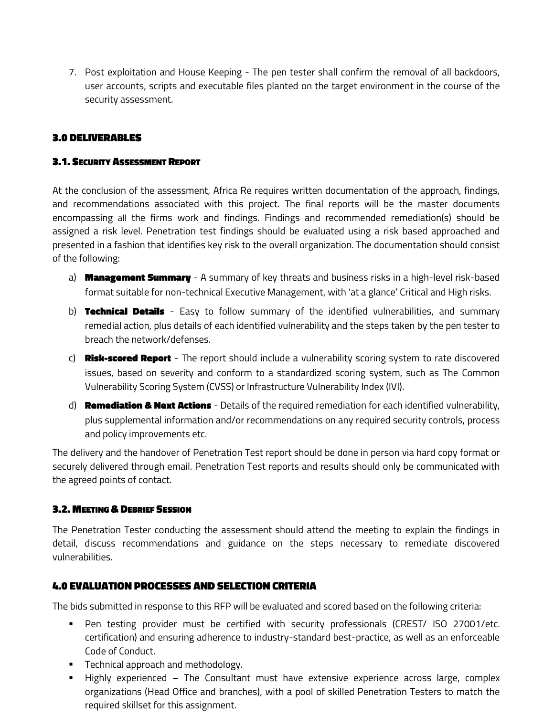7. Post exploitation and House Keeping - The pen tester shall confirm the removal of all backdoors, user accounts, scripts and executable files planted on the target environment in the course of the security assessment.

## 3.0 DELIVERABLES

#### 3.1. SECURITY ASSESSMENT REPORT

At the conclusion of the assessment, Africa Re requires written documentation of the approach, findings, and recommendations associated with this project. The final reports will be the master documents encompassing all the firms work and findings. Findings and recommended remediation(s) should be assigned a risk level. Penetration test findings should be evaluated using a risk based approached and presented in a fashion that identifies key risk to the overall organization. The documentation should consist of the following:

- a) **Management Summary** A summary of key threats and business risks in a high-level risk-based format suitable for non-technical Executive Management, with 'at a glance' Critical and High risks.
- b) **Technical Details** Easy to follow summary of the identified vulnerabilities, and summary remedial action, plus details of each identified vulnerability and the steps taken by the pen tester to breach the network/defenses.
- c) **Risk-scored Report** The report should include a vulnerability scoring system to rate discovered issues, based on severity and conform to a standardized scoring system, such as The Common Vulnerability Scoring System (CVSS) or Infrastructure Vulnerability Index (IVI).
- d) **Remediation & Next Actions** Details of the required remediation for each identified vulnerability, plus supplemental information and/or recommendations on any required security controls, process and policy improvements etc.

The delivery and the handover of Penetration Test report should be done in person via hard copy format or securely delivered through email. Penetration Test reports and results should only be communicated with the agreed points of contact.

#### 3.2. MEETING & DEBRIEF SESSION

The Penetration Tester conducting the assessment should attend the meeting to explain the findings in detail, discuss recommendations and guidance on the steps necessary to remediate discovered vulnerabilities.

## 4.0 EVALUATION PROCESSES AND SELECTION CRITERIA

The bids submitted in response to this RFP will be evaluated and scored based on the following criteria:

- Pen testing provider must be certified with security professionals (CREST/ ISO 27001/etc. certification) and ensuring adherence to industry-standard best-practice, as well as an enforceable Code of Conduct.
- **Technical approach and methodology.**
- **Highly experienced The Consultant must have extensive experience across large, complex** organizations (Head Office and branches), with a pool of skilled Penetration Testers to match the required skillset for this assignment.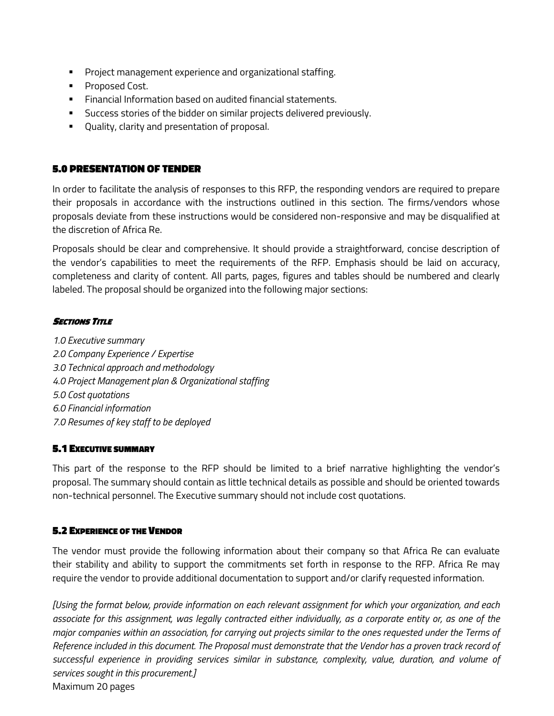- **Project management experience and organizational staffing.**
- **Proposed Cost.**
- **Financial Information based on audited financial statements.**
- Success stories of the bidder on similar projects delivered previously.
- Quality, clarity and presentation of proposal.

## 5.0 PRESENTATION OF TENDER

In order to facilitate the analysis of responses to this RFP, the responding vendors are required to prepare their proposals in accordance with the instructions outlined in this section. The firms/vendors whose proposals deviate from these instructions would be considered non-responsive and may be disqualified at the discretion of Africa Re.

Proposals should be clear and comprehensive. It should provide a straightforward, concise description of the vendor's capabilities to meet the requirements of the RFP. Emphasis should be laid on accuracy, completeness and clarity of content. All parts, pages, figures and tables should be numbered and clearly labeled. The proposal should be organized into the following major sections:

## **SECTIONS TITLE**

1.0 Executive summary 2.0 Company Experience / Expertise 3.0 Technical approach and methodology 4.0 Project Management plan & Organizational staffing 5.0 Cost quotations 6.0 Financial information 7.0 Resumes of key staff to be deployed

## 5.1 EXECUTIVE SUMMARY

This part of the response to the RFP should be limited to a brief narrative highlighting the vendor's proposal. The summary should contain as little technical details as possible and should be oriented towards non-technical personnel. The Executive summary should not include cost quotations.

#### 5.2 EXPERIENCE OF THE VENDOR

The vendor must provide the following information about their company so that Africa Re can evaluate their stability and ability to support the commitments set forth in response to the RFP. Africa Re may require the vendor to provide additional documentation to support and/or clarify requested information.

[Using the format below, provide information on each relevant assignment for which your organization, and each associate for this assignment, was legally contracted either individually, as a corporate entity or, as one of the major companies within an association, for carrying out projects similar to the ones requested under the Terms of Reference included in this document. The Proposal must demonstrate that the Vendor has a proven track record of successful experience in providing services similar in substance, complexity, value, duration, and volume of services sought in this procurement.] Maximum 20 pages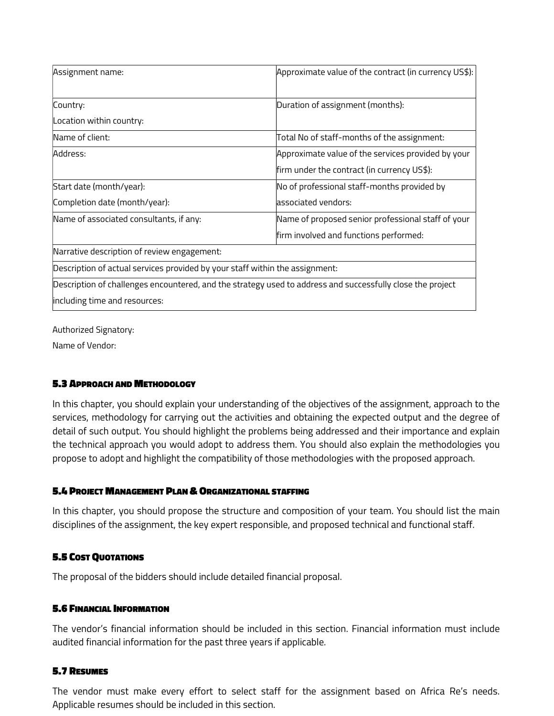| Assignment name:                                                                                           | Approximate value of the contract (in currency US\$): |  |
|------------------------------------------------------------------------------------------------------------|-------------------------------------------------------|--|
| Country:                                                                                                   | Duration of assignment (months):                      |  |
| Location within country:                                                                                   |                                                       |  |
| Name of client:                                                                                            | Total No of staff-months of the assignment:           |  |
| Address:                                                                                                   | Approximate value of the services provided by your    |  |
|                                                                                                            | firm under the contract (in currency US\$):           |  |
| Start date (month/year):                                                                                   | No of professional staff-months provided by           |  |
| Completion date (month/year):                                                                              | associated vendors:                                   |  |
| Name of associated consultants, if any:                                                                    | Name of proposed senior professional staff of your    |  |
|                                                                                                            | firm involved and functions performed:                |  |
| Narrative description of review engagement:                                                                |                                                       |  |
| Description of actual services provided by your staff within the assignment:                               |                                                       |  |
| Description of challenges encountered, and the strategy used to address and successfully close the project |                                                       |  |
| including time and resources:                                                                              |                                                       |  |

Authorized Signatory:

Name of Vendor:

# 5.3 APPROACH AND METHODOLOGY

In this chapter, you should explain your understanding of the objectives of the assignment, approach to the services, methodology for carrying out the activities and obtaining the expected output and the degree of detail of such output. You should highlight the problems being addressed and their importance and explain the technical approach you would adopt to address them. You should also explain the methodologies you propose to adopt and highlight the compatibility of those methodologies with the proposed approach.

## 5.4 PROJECT MANAGEMENT PLAN & ORGANIZATIONAL STAFFING

In this chapter, you should propose the structure and composition of your team. You should list the main disciplines of the assignment, the key expert responsible, and proposed technical and functional staff.

# 5.5 COST QUOTATIONS

The proposal of the bidders should include detailed financial proposal.

## 5.6 FINANCIAL INFORMATION

The vendor's financial information should be included in this section. Financial information must include audited financial information for the past three years if applicable.

#### 5.7 RESUMES

The vendor must make every effort to select staff for the assignment based on Africa Re's needs. Applicable resumes should be included in this section.